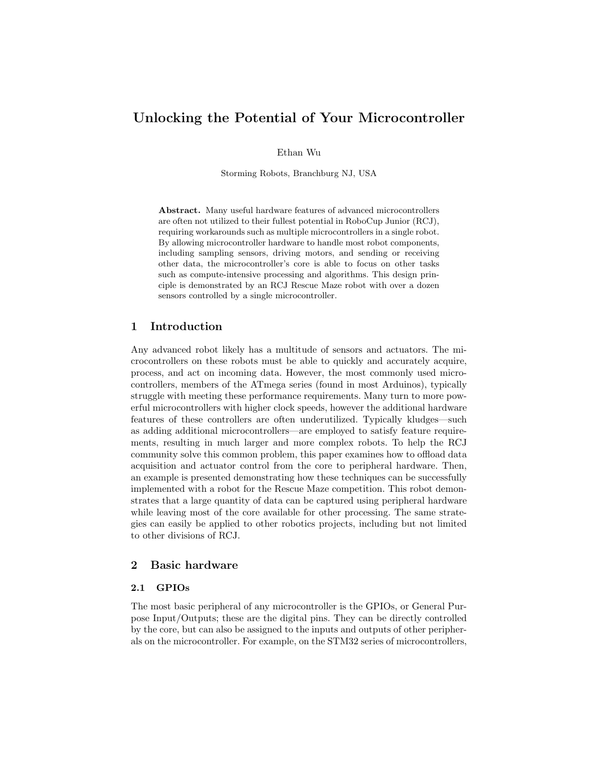# Unlocking the Potential of Your Microcontroller

Ethan Wu

Storming Robots, Branchburg NJ, USA

Abstract. Many useful hardware features of advanced microcontrollers are often not utilized to their fullest potential in RoboCup Junior (RCJ), requiring workarounds such as multiple microcontrollers in a single robot. By allowing microcontroller hardware to handle most robot components, including sampling sensors, driving motors, and sending or receiving other data, the microcontroller's core is able to focus on other tasks such as compute-intensive processing and algorithms. This design principle is demonstrated by an RCJ Rescue Maze robot with over a dozen sensors controlled by a single microcontroller.

### 1 Introduction

Any advanced robot likely has a multitude of sensors and actuators. The microcontrollers on these robots must be able to quickly and accurately acquire, process, and act on incoming data. However, the most commonly used microcontrollers, members of the ATmega series (found in most Arduinos), typically struggle with meeting these performance requirements. Many turn to more powerful microcontrollers with higher clock speeds, however the additional hardware features of these controllers are often underutilized. Typically kludges—such as adding additional microcontrollers—are employed to satisfy feature requirements, resulting in much larger and more complex robots. To help the RCJ community solve this common problem, this paper examines how to offload data acquisition and actuator control from the core to peripheral hardware. Then, an example is presented demonstrating how these techniques can be successfully implemented with a robot for the Rescue Maze competition. This robot demonstrates that a large quantity of data can be captured using peripheral hardware while leaving most of the core available for other processing. The same strategies can easily be applied to other robotics projects, including but not limited to other divisions of RCJ.

### 2 Basic hardware

### 2.1 GPIOs

The most basic peripheral of any microcontroller is the GPIOs, or General Purpose Input/Outputs; these are the digital pins. They can be directly controlled by the core, but can also be assigned to the inputs and outputs of other peripherals on the microcontroller. For example, on the STM32 series of microcontrollers,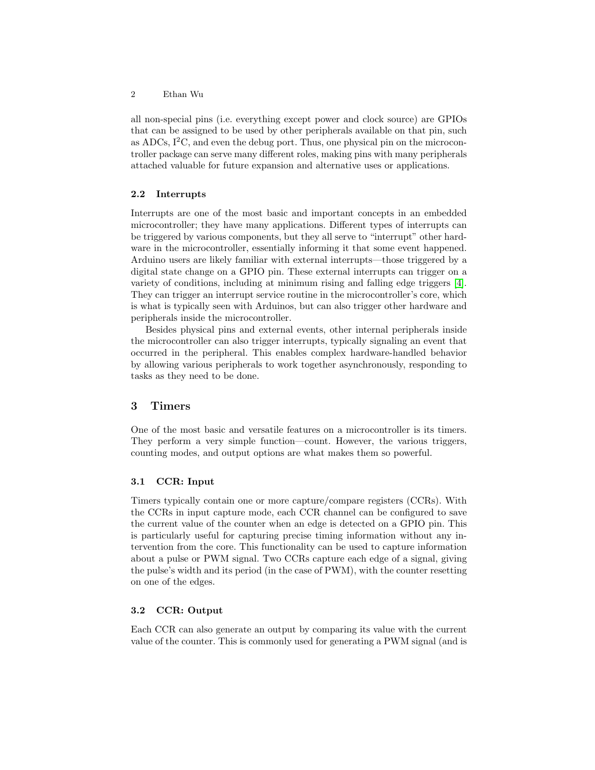all non-special pins (i.e. everything except power and clock source) are GPIOs that can be assigned to be used by other peripherals available on that pin, such as ADCs,  $I^2C$ , and even the debug port. Thus, one physical pin on the microcontroller package can serve many different roles, making pins with many peripherals attached valuable for future expansion and alternative uses or applications.

#### 2.2 Interrupts

Interrupts are one of the most basic and important concepts in an embedded microcontroller; they have many applications. Different types of interrupts can be triggered by various components, but they all serve to "interrupt" other hardware in the microcontroller, essentially informing it that some event happened. Arduino users are likely familiar with external interrupts—those triggered by a digital state change on a GPIO pin. These external interrupts can trigger on a variety of conditions, including at minimum rising and falling edge triggers [\[4\]](#page-5-0). They can trigger an interrupt service routine in the microcontroller's core, which is what is typically seen with Arduinos, but can also trigger other hardware and peripherals inside the microcontroller.

Besides physical pins and external events, other internal peripherals inside the microcontroller can also trigger interrupts, typically signaling an event that occurred in the peripheral. This enables complex hardware-handled behavior by allowing various peripherals to work together asynchronously, responding to tasks as they need to be done.

# 3 Timers

One of the most basic and versatile features on a microcontroller is its timers. They perform a very simple function—count. However, the various triggers, counting modes, and output options are what makes them so powerful.

### 3.1 CCR: Input

Timers typically contain one or more capture/compare registers (CCRs). With the CCRs in input capture mode, each CCR channel can be configured to save the current value of the counter when an edge is detected on a GPIO pin. This is particularly useful for capturing precise timing information without any intervention from the core. This functionality can be used to capture information about a pulse or PWM signal. Two CCRs capture each edge of a signal, giving the pulse's width and its period (in the case of PWM), with the counter resetting on one of the edges.

#### 3.2 CCR: Output

Each CCR can also generate an output by comparing its value with the current value of the counter. This is commonly used for generating a PWM signal (and is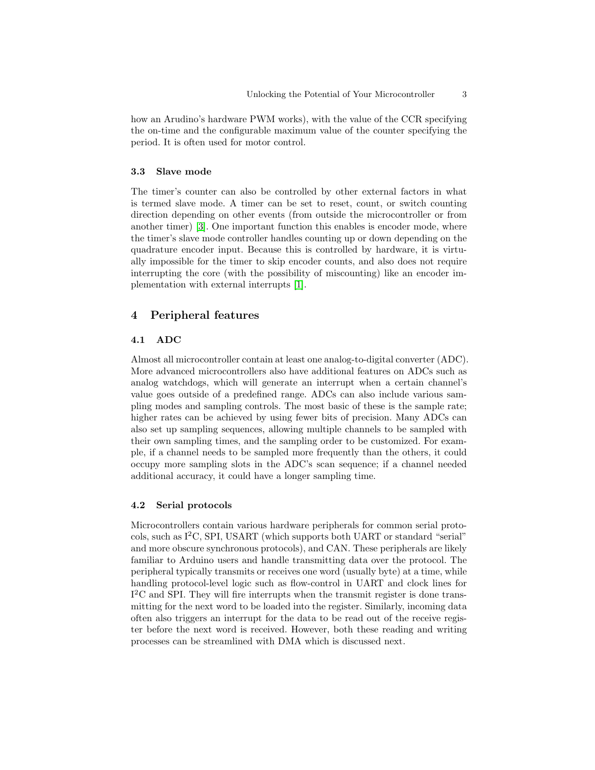how an Arudino's hardware PWM works), with the value of the CCR specifying the on-time and the configurable maximum value of the counter specifying the period. It is often used for motor control.

#### 3.3 Slave mode

The timer's counter can also be controlled by other external factors in what is termed slave mode. A timer can be set to reset, count, or switch counting direction depending on other events (from outside the microcontroller or from another timer) [\[3\]](#page-5-1). One important function this enables is encoder mode, where the timer's slave mode controller handles counting up or down depending on the quadrature encoder input. Because this is controlled by hardware, it is virtually impossible for the timer to skip encoder counts, and also does not require interrupting the core (with the possibility of miscounting) like an encoder implementation with external interrupts [\[1\]](#page-5-2).

### 4 Peripheral features

#### 4.1 ADC

Almost all microcontroller contain at least one analog-to-digital converter (ADC). More advanced microcontrollers also have additional features on ADCs such as analog watchdogs, which will generate an interrupt when a certain channel's value goes outside of a predefined range. ADCs can also include various sampling modes and sampling controls. The most basic of these is the sample rate; higher rates can be achieved by using fewer bits of precision. Many ADCs can also set up sampling sequences, allowing multiple channels to be sampled with their own sampling times, and the sampling order to be customized. For example, if a channel needs to be sampled more frequently than the others, it could occupy more sampling slots in the ADC's scan sequence; if a channel needed additional accuracy, it could have a longer sampling time.

#### 4.2 Serial protocols

Microcontrollers contain various hardware peripherals for common serial protocols, such as  $I^2C$ , SPI, USART (which supports both UART or standard "serial" and more obscure synchronous protocols), and CAN. These peripherals are likely familiar to Arduino users and handle transmitting data over the protocol. The peripheral typically transmits or receives one word (usually byte) at a time, while handling protocol-level logic such as flow-control in UART and clock lines for I <sup>2</sup>C and SPI. They will fire interrupts when the transmit register is done transmitting for the next word to be loaded into the register. Similarly, incoming data often also triggers an interrupt for the data to be read out of the receive register before the next word is received. However, both these reading and writing processes can be streamlined with DMA which is discussed next.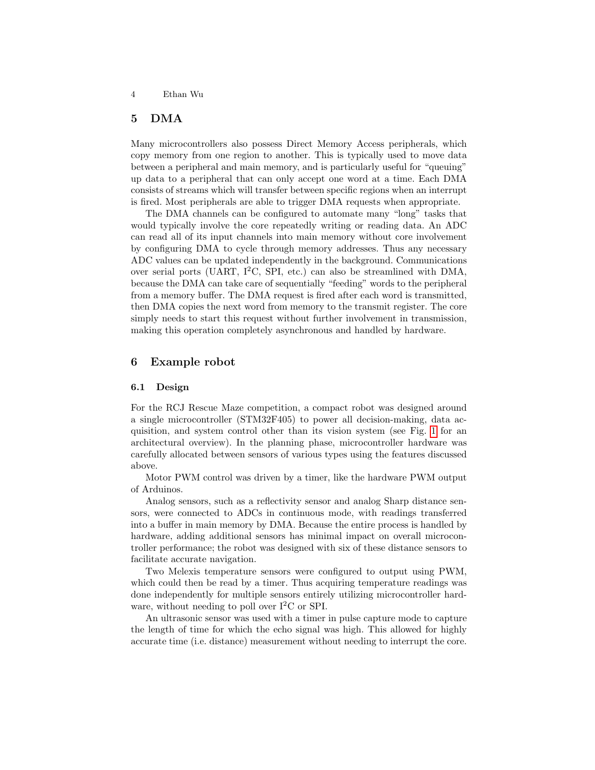# 5 DMA

Many microcontrollers also possess Direct Memory Access peripherals, which copy memory from one region to another. This is typically used to move data between a peripheral and main memory, and is particularly useful for "queuing" up data to a peripheral that can only accept one word at a time. Each DMA consists of streams which will transfer between specific regions when an interrupt is fired. Most peripherals are able to trigger DMA requests when appropriate.

The DMA channels can be configured to automate many "long" tasks that would typically involve the core repeatedly writing or reading data. An ADC can read all of its input channels into main memory without core involvement by configuring DMA to cycle through memory addresses. Thus any necessary ADC values can be updated independently in the background. Communications over serial ports (UART, I<sup>2</sup>C, SPI, etc.) can also be streamlined with DMA, because the DMA can take care of sequentially "feeding" words to the peripheral from a memory buffer. The DMA request is fired after each word is transmitted, then DMA copies the next word from memory to the transmit register. The core simply needs to start this request without further involvement in transmission, making this operation completely asynchronous and handled by hardware.

#### 6 Example robot

#### 6.1 Design

For the RCJ Rescue Maze competition, a compact robot was designed around a single microcontroller (STM32F405) to power all decision-making, data acquisition, and system control other than its vision system (see Fig. [1](#page-4-0) for an architectural overview). In the planning phase, microcontroller hardware was carefully allocated between sensors of various types using the features discussed above.

Motor PWM control was driven by a timer, like the hardware PWM output of Arduinos.

Analog sensors, such as a reflectivity sensor and analog Sharp distance sensors, were connected to ADCs in continuous mode, with readings transferred into a buffer in main memory by DMA. Because the entire process is handled by hardware, adding additional sensors has minimal impact on overall microcontroller performance; the robot was designed with six of these distance sensors to facilitate accurate navigation.

Two Melexis temperature sensors were configured to output using PWM, which could then be read by a timer. Thus acquiring temperature readings was done independently for multiple sensors entirely utilizing microcontroller hardware, without needing to poll over  $I^2C$  or SPI.

An ultrasonic sensor was used with a timer in pulse capture mode to capture the length of time for which the echo signal was high. This allowed for highly accurate time (i.e. distance) measurement without needing to interrupt the core.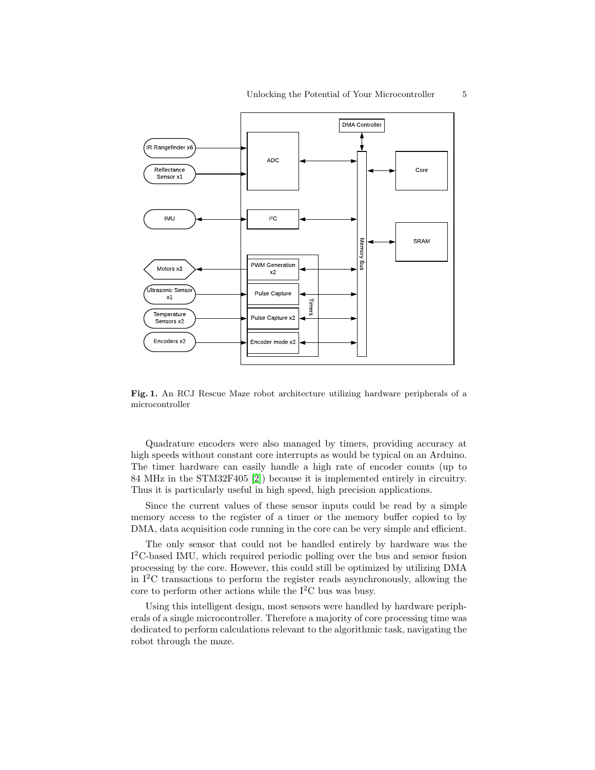

<span id="page-4-0"></span>Fig. 1. An RCJ Rescue Maze robot architecture utilizing hardware peripherals of a microcontroller

Quadrature encoders were also managed by timers, providing accuracy at high speeds without constant core interrupts as would be typical on an Arduino. The timer hardware can easily handle a high rate of encoder counts (up to 84 MHz in the STM32F405 [\[2\]](#page-5-3)) because it is implemented entirely in circuitry. Thus it is particularly useful in high speed, high precision applications.

Since the current values of these sensor inputs could be read by a simple memory access to the register of a timer or the memory buffer copied to by DMA, data acquisition code running in the core can be very simple and efficient.

The only sensor that could not be handled entirely by hardware was the I<sup>2</sup>C-based IMU, which required periodic polling over the bus and sensor fusion processing by the core. However, this could still be optimized by utilizing DMA in  $I^2C$  transactions to perform the register reads asynchronously, allowing the core to perform other actions while the  $I^2C$  bus was busy.

Using this intelligent design, most sensors were handled by hardware peripherals of a single microcontroller. Therefore a majority of core processing time was dedicated to perform calculations relevant to the algorithmic task, navigating the robot through the maze.